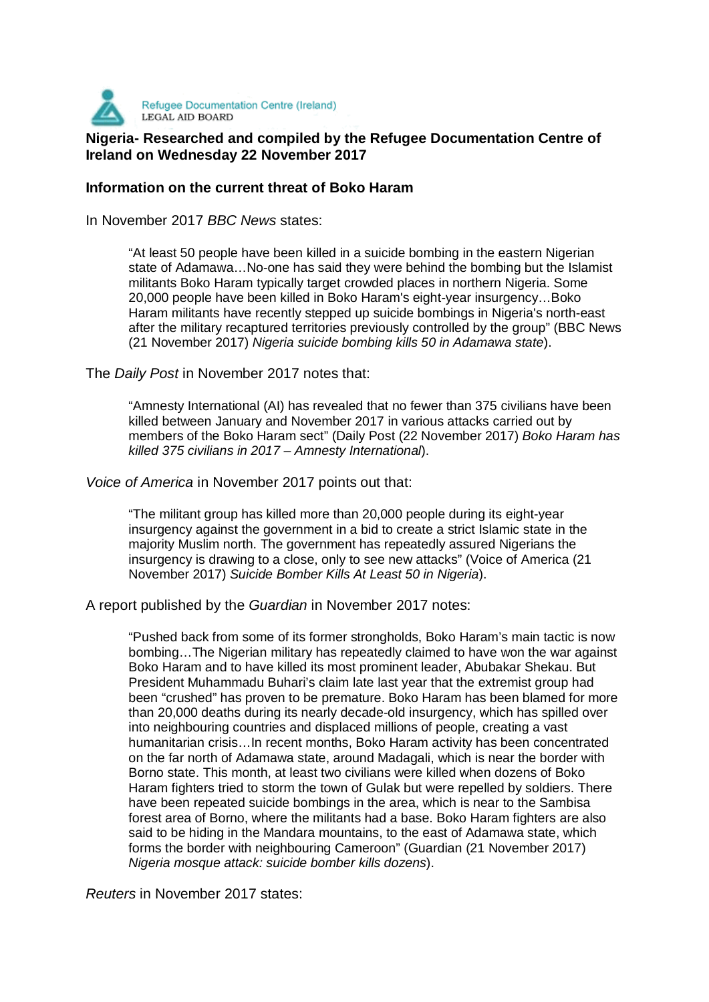

## **Nigeria- Researched and compiled by the Refugee Documentation Centre of Nigeria- Researched and compiled by the Refugee Documentation Centre of Ireland on Wednesday 22 November 2017**

## **Information on the current threat of Boko Haram**

In November 2017 BBC News states:

"At least 50 people have been killed in a suicide bombing in the eastern Nigerian state of Adamawa…No-one has said they were behind the bombing but the Islamist militants Boko Haram typically target crowded places in northern Nigeria. Some 20,000 people have been killed in Boko Haram's eight-year insurgency…Boko Haram militants have recently stepped up suicide bombings in Nigeria's north-east after the military recaptured territories previously controlled by the group" (BBC News (21 November 2017) Nigeria suicide bombing kills 50 in Adamawa state).

The Daily Post in November 2017 notes that:

"Amnesty International (AI) has revealed that no fewer than 375 civilians have been killed between January and November 2017 in various attacks carried out by members of the Boko Haram sect" (Daily Post (22 November 2017) Boko Haram has killed 375 civilians in 2017 – Amnesty International).

Voice of America in November 2017 points out that:

"The militant group has killed more than 20,000 people during its eight-year insurgency against the government in a bid to create a strict Islamic state in the majority Muslim north. The government has repeatedly assured Nigerians the insurgency is drawing to a close, only to see new attacks" (Voice of America (21 November 2017) Suicide Bomber Kills At Least 50 in Nigeria).

A report published by the Guardian in November 2017 notes:

"Pushed back from some of its former strongholds, Boko Haram's main tactic is now bombing…The Nigerian military has repeatedly claimed to have won the war against Boko Haram and to have killed its most prominent leader, Abubakar Shekau. But President Muhammadu Buhari's claim late last year that the extremist group had been "crushed" has proven to be premature. Boko Haram has been blamed for more than 20,000 deaths during its nearly decade-old insurgency, which has spilled over into neighbouring countries and displaced millions of people, creating a vast humanitarian crisis…In recent months, Boko Haram activity has been concentrated on the far north of Adamawa state, around Madagali, which is near the border with Borno state. This month, at least two civilians were killed when dozens of Boko Haram fighters tried to storm the town of Gulak but were repelled by soldiers. There have been repeated suicide bombings in the area, which is near to the Sambisa forest area of Borno, where the militants had a base. Boko Haram fighters are also said to be hiding in the Mandara mountains, to the east of Adamawa state, which forms the border with neighbouring Cameroon" (Guardian (21 November 2017) Nigeria mosque attack: suicide bomber kills dozens).

Reuters in November 2017 states: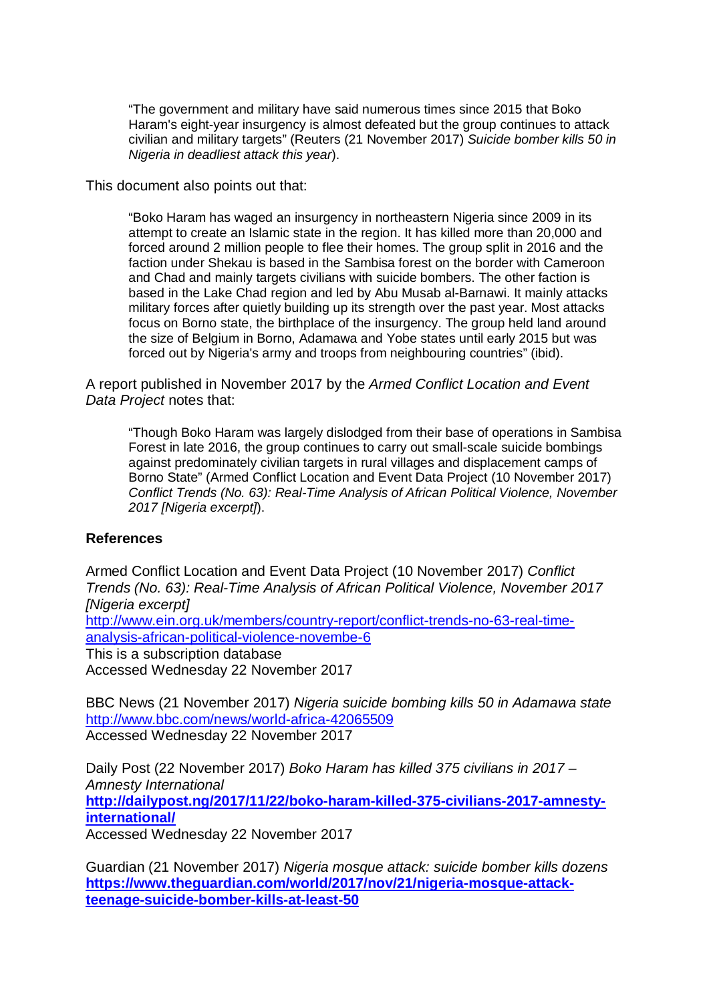"The government and military have said numerous times since 2015 that Boko Haram's eight-year insurgency is almost defeated but the group continues to attack civilian and military targets" (Reuters (21 November 2017) Suicide bomber kills 50 in Nigeria in deadliest attack this year).

This document also points out that:

"Boko Haram has waged an insurgency in northeastern Nigeria since 2009 in its attempt to create an Islamic state in the region. It has killed more than 20,000 and forced around 2 million people to flee their homes. The group split in 2016 and the faction under Shekau is based in the Sambisa forest on the border with Cameroon and Chad and mainly targets civilians with suicide bombers. The other faction is based in the Lake Chad region and led by Abu Musab al-Barnawi. It mainly attacks military forces after quietly building up its strength over the past year. Most attacks focus on Borno state, the birthplace of the insurgency. The group held land around the size of Belgium in Borno, Adamawa and Yobe states until early 2015 but was forced out by Nigeria's army and troops from neighbouring countries" (ibid).

A report published in November 2017 by the Armed Conflict Location and Event Data Project notes that:

"Though Boko Haram was largely dislodged from their base of operations in Sambisa Forest in late 2016, the group continues to carry out small-scale suicide bombings against predominately civilian targets in rural villages and displacement camps of Borno State" (Armed Conflict Location and Event Data Project (10 November 2017) Conflict Trends (No. 63): Real-Time Analysis of African Political Violence, November 2017 [Nigeria excerpt]).

## **References**

Armed Conflict Location and Event Data Project (10 November 2017) Conflict Trends (No. 63): Real-Time Analysis of African Political Violence, November 2017 [Nigeria excerpt]

http://www.ein.org.uk/members/country-report/conflict-trends-no-63-real-timeanalysis-african-political-violence-novembe-6

This is a subscription database

Accessed Wednesday 22 November 2017

BBC News (21 November 2017) Nigeria suicide bombing kills 50 in Adamawa state http://www.bbc.com/news/world-africa-42065509 Accessed Wednesday 22 November 2017

Daily Post (22 November 2017) Boko Haram has killed 375 civilians in 2017 – Amnesty International **http://dailypost.ng/2017/11/22/boko-haram-killed-375-civilians-2017-amnestyinternational/** Accessed Wednesday 22 November 2017

Guardian (21 November 2017) Nigeria mosque attack: suicide bomber kills dozens **https://www.theguardian.com/world/2017/nov/21/nigeria-mosque-attackteenage-suicide-bomber-kills-at-least-50**